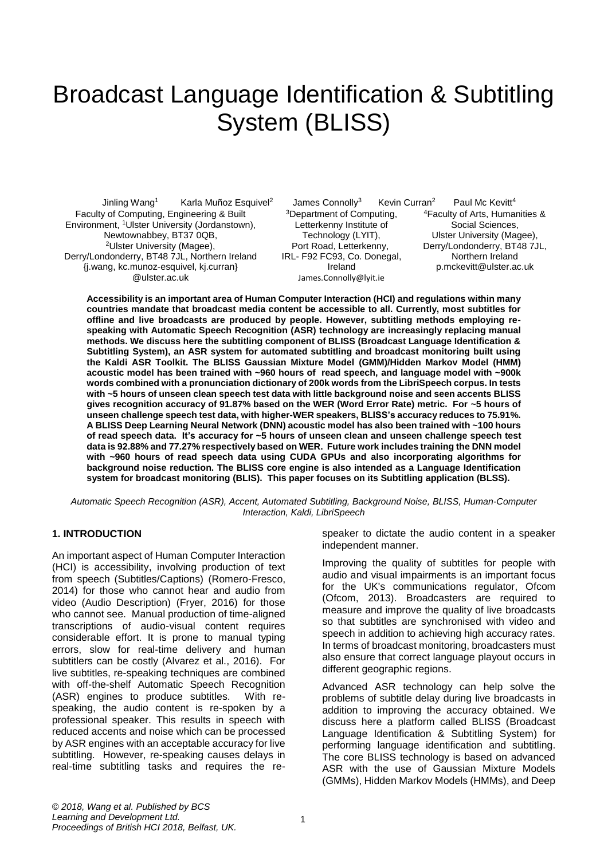# Broadcast Language Identification & Subtitling System (BLISS)

Jinling Wang<sup>1</sup> Karla Muñoz Esquivel<sup>2</sup> James Connolly<sup>3</sup> Kevin Curran<sup>2</sup> Faculty of Computing, Engineering & Built Environment, <sup>1</sup>Ulster University (Jordanstown), Newtownabbey, BT37 0QB, <sup>2</sup>Ulster University (Magee), Derry/Londonderry, BT48 7JL, Northern Ireland [{j.wang, kc.munoz-esquivel, kj.curran}](mailto:j.wang@ulster.ac.uk)  [@ulster.ac.uk](mailto:j.wang@ulster.ac.uk)

<sup>3</sup>Department of Computing, Letterkenny Institute of Technology (LYIT), Port Road, Letterkenny, IRL- F92 FC93, Co. Donegal, Ireland [James.Connolly@lyit.ie](mailto:James.Connolly@lyit.ie)

Paul Mc Kevitt<sup>4</sup> <sup>4</sup>Faculty of Arts, Humanities & Social Sciences, Ulster University (Magee), Derry/Londonderry, BT48 7JL, Northern Ireland [p.mckevitt@ulster.ac.uk](mailto:p.mckevitt@ulster.ac.uk)

**Accessibility is an important area of Human Computer Interaction (HCI) and regulations within many countries mandate that broadcast media content be accessible to all. Currently, most subtitles for offline and live broadcasts are produced by people. However, subtitling methods employing respeaking with Automatic Speech Recognition (ASR) technology are increasingly replacing manual methods. We discuss here the subtitling component of BLISS (Broadcast Language Identification & Subtitling System), an ASR system for automated subtitling and broadcast monitoring built using the Kaldi ASR Toolkit. The BLISS Gaussian Mixture Model (GMM)/Hidden Markov Model (HMM) acoustic model has been trained with ~960 hours of read speech, and language model with ~900k words combined with a pronunciation dictionary of 200k words from the LibriSpeech corpus. In tests with ~5 hours of unseen clean speech test data with little background noise and seen accents BLISS gives recognition accuracy of 91.87% based on the WER (Word Error Rate) metric. For ~5 hours of unseen challenge speech test data, with higher-WER speakers, BLISS's accuracy reduces to 75.91%. A BLISS Deep Learning Neural Network (DNN) acoustic model has also been trained with ~100 hours of read speech data. It's accuracy for ~5 hours of unseen clean and unseen challenge speech test data is 92.88% and 77.27% respectively based on WER. Future work includes training the DNN model with ~960 hours of read speech data using CUDA GPUs and also incorporating algorithms for background noise reduction. The BLISS core engine is also intended as a Language Identification system for broadcast monitoring (BLIS). This paper focuses on its Subtitling application (BLSS).** 

*Automatic Speech Recognition (ASR), Accent, Automated Subtitling, Background Noise, BLISS, Human-Computer Interaction, Kaldi, LibriSpeech*

## **1. INTRODUCTION**

An important aspect of Human Computer Interaction (HCI) is accessibility, involving production of text from speech (Subtitles/Captions) (Romero-Fresco, 2014) for those who cannot hear and audio from video (Audio Description) (Fryer, 2016) for those who cannot see. Manual production of time-aligned transcriptions of audio-visual content requires considerable effort. It is prone to manual typing errors, slow for real-time delivery and human subtitlers can be costly (Alvarez et al., 2016). For live subtitles, re-speaking techniques are combined with off-the-shelf Automatic Speech Recognition (ASR) engines to produce subtitles. With respeaking, the audio content is re-spoken by a professional speaker. This results in speech with reduced accents and noise which can be processed by ASR engines with an acceptable accuracy for live subtitling. However, re-speaking causes delays in real-time subtitling tasks and requires the respeaker to dictate the audio content in a speaker independent manner.

Improving the quality of subtitles for people with audio and visual impairments is an important focus for the UK's communications regulator, Ofcom (Ofcom, 2013). Broadcasters are required to measure and improve the quality of live broadcasts so that subtitles are synchronised with video and speech in addition to achieving high accuracy rates. In terms of broadcast monitoring, broadcasters must also ensure that correct language playout occurs in different geographic regions.

Advanced ASR technology can help solve the problems of subtitle delay during live broadcasts in addition to improving the accuracy obtained. We discuss here a platform called BLISS (Broadcast Language Identification & Subtitling System) for performing language identification and subtitling. The core BLISS technology is based on advanced ASR with the use of Gaussian Mixture Models (GMMs), Hidden Markov Models (HMMs), and Deep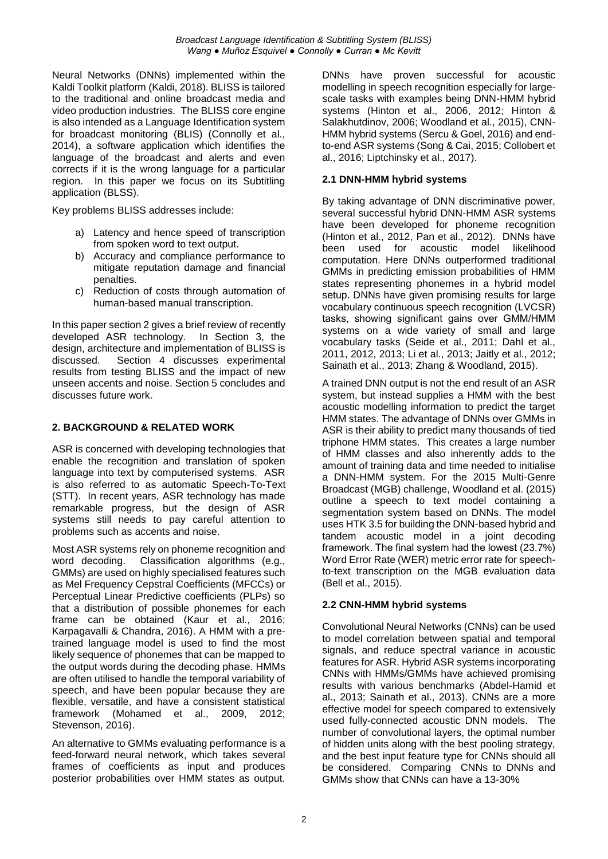Neural Networks (DNNs) implemented within the Kaldi Toolkit platform (Kaldi, 2018). BLISS is tailored to the traditional and online broadcast media and video production industries. The BLISS core engine is also intended as a Language Identification system for broadcast monitoring (BLIS) (Connolly et al., 2014), a software application which identifies the language of the broadcast and alerts and even corrects if it is the wrong language for a particular region. In this paper we focus on its Subtitling application (BLSS).

Key problems BLISS addresses include:

- a) Latency and hence speed of transcription from spoken word to text output.
- b) Accuracy and compliance performance to mitigate reputation damage and financial penalties.
- c) Reduction of costs through automation of human-based manual transcription.

In this paper section 2 gives a brief review of recently developed ASR technology. In Section 3, the design, architecture and implementation of BLISS is discussed. Section 4 discusses experimental results from testing BLISS and the impact of new unseen accents and noise. Section 5 concludes and discusses future work.

# **2. BACKGROUND & RELATED WORK**

ASR is concerned with developing technologies that enable the recognition and translation of spoken language into text by computerised systems. ASR is also referred to as automatic Speech-To-Text (STT). In recent years, ASR technology has made remarkable progress, but the design of ASR systems still needs to pay careful attention to problems such as accents and noise.

Most ASR systems rely on phoneme recognition and word decoding. Classification algorithms (e.g., GMMs) are used on highly specialised features such as Mel Frequency Cepstral Coefficients (MFCCs) or Perceptual Linear Predictive coefficients (PLPs) so that a distribution of possible phonemes for each frame can be obtained (Kaur et al., 2016; Karpagavalli & Chandra, 2016). A HMM with a pretrained language model is used to find the most likely sequence of phonemes that can be mapped to the output words during the decoding phase. HMMs are often utilised to handle the temporal variability of speech, and have been popular because they are flexible, versatile, and have a consistent statistical framework (Mohamed et al., 2009, 2012; Stevenson, 2016).

An alternative to GMMs evaluating performance is a feed-forward neural network, which takes several frames of coefficients as input and produces posterior probabilities over HMM states as output. DNNs have proven successful for acoustic modelling in speech recognition especially for largescale tasks with examples being DNN-HMM hybrid systems (Hinton et al., 2006, 2012; Hinton & Salakhutdinov, 2006; Woodland et al., 2015), CNN-HMM hybrid systems (Sercu & Goel, 2016) and endto-end ASR systems (Song & Cai, 2015; Collobert et al., 2016; Liptchinsky et al., 2017).

# **2.1 DNN-HMM hybrid systems**

By taking advantage of DNN discriminative power, several successful hybrid DNN-HMM ASR systems have been developed for phoneme recognition (Hinton et al., 2012, Pan et al., 2012). DNNs have been used for acoustic model likelihood computation. Here DNNs outperformed traditional GMMs in predicting emission probabilities of HMM states representing phonemes in a hybrid model setup. DNNs have given promising results for large vocabulary continuous speech recognition (LVCSR) tasks, showing significant gains over GMM/HMM systems on a wide variety of small and large vocabulary tasks (Seide et al., 2011; Dahl et al., 2011, 2012, 2013; Li et al., 2013; Jaitly et al., 2012; Sainath et al., 2013; Zhang & Woodland, 2015).

A trained DNN output is not the end result of an ASR system, but instead supplies a HMM with the best acoustic modelling information to predict the target HMM states. The advantage of DNNs over GMMs in ASR is their ability to predict many thousands of tied triphone HMM states. This creates a large number of HMM classes and also inherently adds to the amount of training data and time needed to initialise a DNN-HMM system. For the 2015 Multi-Genre Broadcast (MGB) challenge, Woodland et al. (2015) outline a speech to text model containing a segmentation system based on DNNs. The model uses HTK 3.5 for building the DNN-based hybrid and tandem acoustic model in a joint decoding framework. The final system had the lowest (23.7%) Word Error Rate (WER) metric error rate for speechto-text transcription on the MGB evaluation data (Bell et al., 2015).

# **2.2 CNN-HMM hybrid systems**

Convolutional Neural Networks (CNNs) can be used to model correlation between spatial and temporal signals, and reduce spectral variance in acoustic features for ASR. Hybrid ASR systems incorporating CNNs with HMMs/GMMs have achieved promising results with various benchmarks (Abdel-Hamid et al., 2013; Sainath et al., 2013). CNNs are a more effective model for speech compared to extensively used fully-connected acoustic DNN models. The number of convolutional layers, the optimal number of hidden units along with the best pooling strategy, and the best input feature type for CNNs should all be considered. Comparing CNNs to DNNs and GMMs show that CNNs can have a 13-30%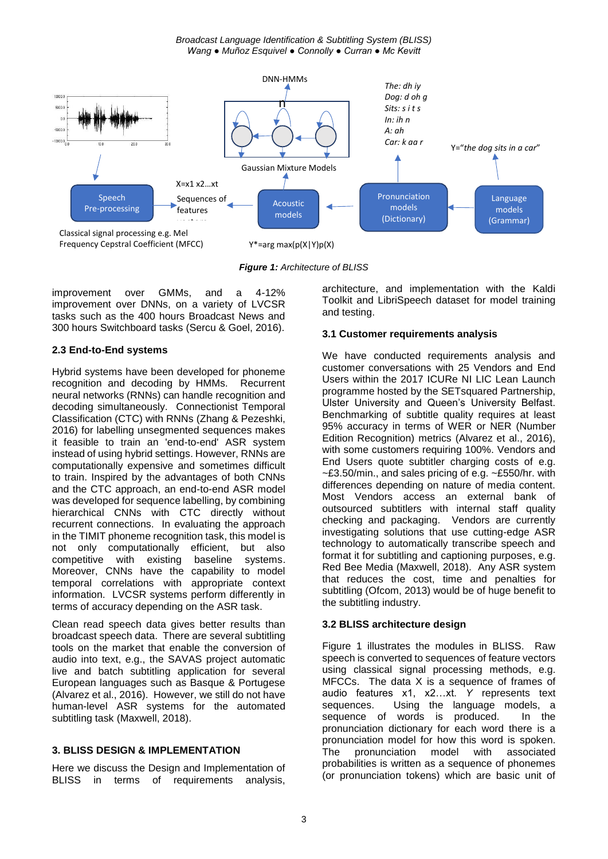*Broadcast Language Identification & Subtitling System (BLISS) Wang ● Muñoz Esquivel ● Connolly ● Curran ● Mc Kevitt*



*Figure 1: Architecture of BLISS* 

improvement over GMMs, and a 4-12% improvement over DNNs, on a variety of LVCSR tasks such as the 400 hours Broadcast News and 300 hours Switchboard tasks (Sercu & Goel, 2016).

## **2.3 End-to-End systems**

Hybrid systems have been developed for phoneme recognition and decoding by HMMs. Recurrent neural networks (RNNs) can handle recognition and decoding simultaneously. Connectionist Temporal Classification (CTC) with RNNs (Zhang & Pezeshki, 2016) for labelling unsegmented sequences makes it feasible to train an 'end-to-end' ASR system instead of using hybrid settings. However, RNNs are computationally expensive and sometimes difficult to train. Inspired by the advantages of both CNNs and the CTC approach, an end-to-end ASR model was developed for sequence labelling, by combining hierarchical CNNs with CTC directly without recurrent connections. In evaluating the approach in the TIMIT phoneme recognition task, this model is not only computationally efficient, but also competitive with existing baseline systems. Moreover, CNNs have the capability to model temporal correlations with appropriate context information. LVCSR systems perform differently in terms of accuracy depending on the ASR task.

Clean read speech data gives better results than broadcast speech data. There are several subtitling tools on the market that enable the conversion of audio into text, e.g., the SAVAS project automatic live and batch subtitling application for several European languages such as Basque & Portugese (Alvarez et al., 2016). However, we still do not have human-level ASR systems for the automated subtitling task (Maxwell, 2018).

## **3. BLISS DESIGN & IMPLEMENTATION**

Here we discuss the Design and Implementation of BLISS in terms of requirements analysis, architecture, and implementation with the Kaldi Toolkit and LibriSpeech dataset for model training and testing.

# **3.1 Customer requirements analysis**

We have conducted requirements analysis and customer conversations with 25 Vendors and End Users within the 2017 ICURe NI LIC Lean Launch programme hosted by the SETsquared Partnership, Ulster University and Queen's University Belfast. Benchmarking of subtitle quality requires at least 95% accuracy in terms of WER or NER (Number Edition Recognition) metrics (Alvarez et al., 2016), with some customers requiring 100%. Vendors and End Users quote subtitler charging costs of e.g. ~£3.50/min., and sales pricing of e.g. ~£550/hr. with differences depending on nature of media content. Most Vendors access an external bank of outsourced subtitlers with internal staff quality checking and packaging. Vendors are currently investigating solutions that use cutting-edge ASR technology to automatically transcribe speech and format it for subtitling and captioning purposes, e.g. Red Bee Media (Maxwell, 2018). Any ASR system that reduces the cost, time and penalties for subtitling (Ofcom, 2013) would be of huge benefit to the subtitling industry.

## **3.2 BLISS architecture design**

Figure 1 illustrates the modules in BLISS. Raw speech is converted to sequences of feature vectors using classical signal processing methods, e.g. MFCCs. The data X is a sequence of frames of audio features x1, x2…xt. *Y* represents text sequences. Using the language models, a sequence of words is produced. In the pronunciation dictionary for each word there is a pronunciation model for how this word is spoken. The pronunciation model with associated probabilities is written as a sequence of phonemes (or pronunciation tokens) which are basic unit of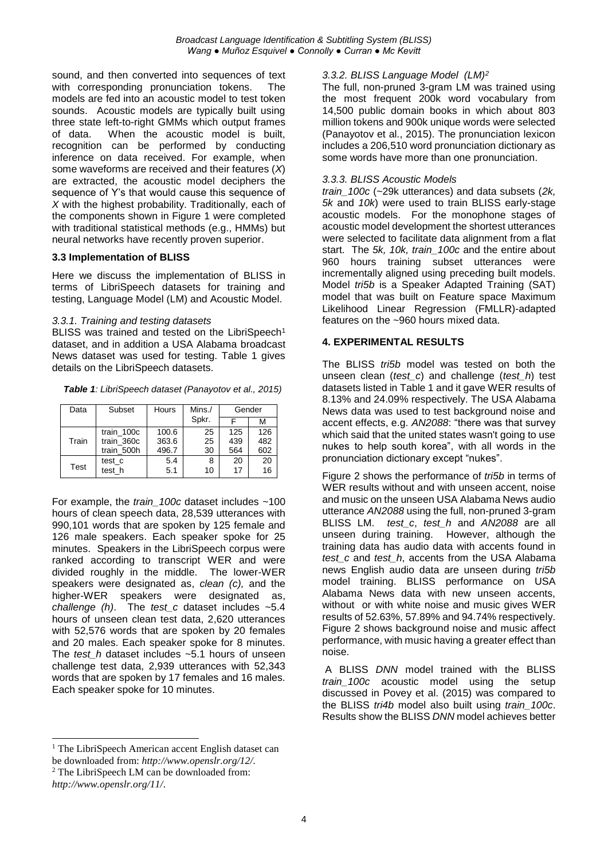sound, and then converted into sequences of text with corresponding pronunciation tokens. The models are fed into an acoustic model to test token sounds. Acoustic models are typically built using three state left-to-right GMMs which output frames of data. When the acoustic model is built, recognition can be performed by conducting inference on data received. For example, when some waveforms are received and their features (*X*) are extracted, the acoustic model deciphers the sequence of Y's that would cause this sequence of *X* with the highest probability. Traditionally, each of the components shown in Figure 1 were completed with traditional statistical methods (e.g., HMMs) but neural networks have recently proven superior.

#### **3.3 Implementation of BLISS**

Here we discuss the implementation of BLISS in terms of LibriSpeech datasets for training and testing, Language Model (LM) and Acoustic Model.

#### *3.3.1. Training and testing datasets*

BLISS was trained and tested on the LibriSpeech<sup>1</sup> dataset, and in addition a USA Alabama broadcast News dataset was used for testing. Table 1 gives details on the LibriSpeech datasets.

| Data  | Subset     | Hours | Mins./ | Gender |     |
|-------|------------|-------|--------|--------|-----|
|       |            |       | Spkr.  |        | м   |
| Train | train 100c | 100.6 | 25     | 125    | 126 |
|       | train 360c | 363.6 | 25     | 439    | 482 |
|       | train 500h | 496.7 | 30     | 564    | 602 |
| Test  | test c     | 5.4   | 8      | 20     | 20  |
|       | test h     | 5.1   | 10     | 17     | 16  |

For example, the *train\_100c* dataset includes ~100 hours of clean speech data, 28,539 utterances with 990,101 words that are spoken by 125 female and 126 male speakers. Each speaker spoke for 25 minutes. Speakers in the LibriSpeech corpus were ranked according to transcript WER and were divided roughly in the middle. The lower-WER speakers were designated as, *clean (c),* and the higher-WER speakers were designated as, *challenge (h)*. The *test\_c* dataset includes ~5.4 hours of unseen clean test data, 2,620 utterances with 52,576 words that are spoken by 20 females and 20 males. Each speaker spoke for 8 minutes. The *test* h dataset includes ~5.1 hours of unseen challenge test data, 2,939 utterances with 52,343 words that are spoken by 17 females and 16 males. Each speaker spoke for 10 minutes.

#### <sup>1</sup> The LibriSpeech American accent English dataset can be downloaded from: *[http://www.openslr.org/12/.](http://www.openslr.org/12/)*

<sup>2</sup> The LibriSpeech LM can be downloaded from:

-

## *3.3.2. BLISS Language Model (LM)<sup>2</sup>*

The full, non-pruned 3-gram LM was trained using the most frequent 200k word vocabulary from 14,500 public domain books in which about 803 million tokens and 900k unique words were selected (Panayotov et al., 2015). The pronunciation lexicon includes a 206,510 word pronunciation dictionary as some words have more than one pronunciation.

#### *3.3.3. BLISS Acoustic Models*

*train\_100c* (~29k utterances) and data subsets (*2k, 5k* and *10k*) were used to train BLISS early-stage acoustic models. For the monophone stages of acoustic model development the shortest utterances were selected to facilitate data alignment from a flat start. The *5k, 10k, train\_100c* and the entire about 960 hours training subset utterances were incrementally aligned using preceding built models. Model *tri5b* is a Speaker Adapted Training (SAT) model that was built on Feature space Maximum Likelihood Linear Regression (FMLLR)-adapted features on the ~960 hours mixed data.

#### **4. EXPERIMENTAL RESULTS**

The BLISS *tri5b* model was tested on both the unseen clean (*test\_c*) and challenge (*test\_h*) test datasets listed in Table 1 and it gave WER results of 8.13% and 24.09% respectively. The USA Alabama News data was used to test background noise and accent effects, e.g. *AN2088*: "there was that survey which said that the united states wasn't going to use nukes to help south korea", with all words in the pronunciation dictionary except "nukes".

Figure 2 shows the performance of *tri5b* in terms of WER results without and with unseen accent, noise and music on the unseen USA Alabama News audio utterance *AN2088* using the full, non-pruned 3-gram BLISS LM. *test\_c*, *test\_h* and *AN2088* are all unseen during training. However, although the training data has audio data with accents found in *test\_c* and *test\_h*, accents from the USA Alabama news English audio data are unseen during *tri5b* model training. BLISS performance on USA Alabama News data with new unseen accents, without or with white noise and music gives WER results of 52.63%, 57.89% and 94.74% respectively. Figure 2 shows background noise and music affect performance, with music having a greater effect than noise.

A BLISS *DNN* model trained with the BLISS *train\_100c* acoustic model using the setup discussed in Povey et al. (2015) was compared to the BLISS *tri4b* model also built using *train\_100c*. Results show the BLISS *DNN* model achieves better

*<http://www.openslr.org/11/>*.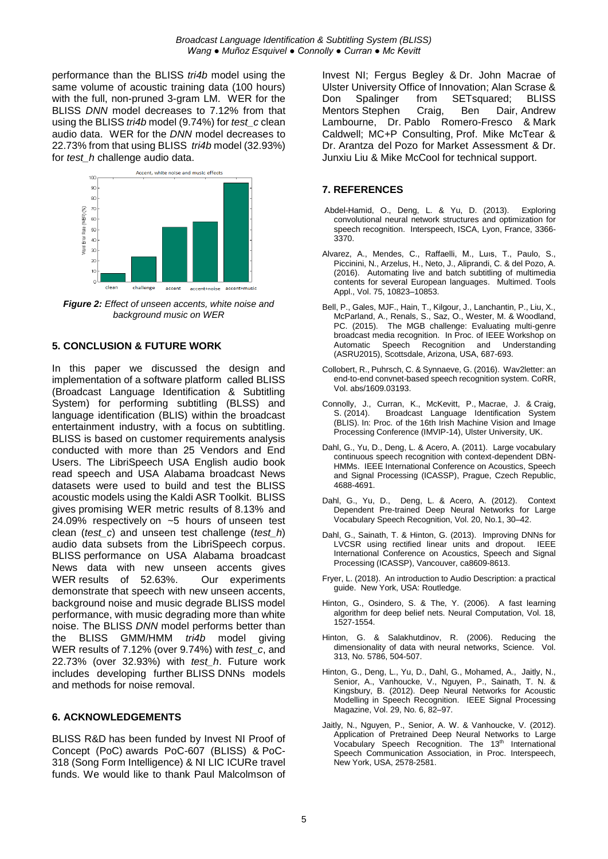performance than the BLISS *tri4b* model using the same volume of acoustic training data (100 hours) with the full, non-pruned 3-gram LM. WER for the BLISS *DNN* model decreases to 7.12% from that using the BLISS *tri4b* model (9.74%) for *test\_c* clean audio data. WER for the *DNN* model decreases to 22.73% from that using BLISS *tri4b* model (32.93%) for *test\_h* challenge audio data.



*Figure 2: Effect of unseen accents, white noise and background music on WER*

# **5. CONCLUSION & FUTURE WORK**

In this paper we discussed the design and implementation of a software platform called BLISS (Broadcast Language Identification & Subtitling System) for performing subtitling (BLSS) and language identification (BLIS) within the broadcast entertainment industry, with a focus on subtitling. BLISS is based on customer requirements analysis conducted with more than 25 Vendors and End Users. The LibriSpeech USA English audio book read speech and USA Alabama broadcast News datasets were used to build and test the BLISS acoustic models using the Kaldi ASR Toolkit. BLISS gives promising WER metric results of 8.13% and 24.09% respectively on ~5 hours of unseen test clean (*test\_c*) and unseen test challenge (*test\_h*) audio data subsets from the LibriSpeech corpus. BLISS performance on USA Alabama broadcast News data with new unseen accents gives WER results of 52.63%. Our experiments demonstrate that speech with new unseen accents, background noise and music degrade BLISS model performance, with music degrading more than white noise. The BLISS *DNN* model performs better than the BLISS GMM/HMM *tri4b* model giving WER results of 7.12% (over 9.74%) with *test\_c*, and 22.73% (over 32.93%) with *test\_h*. Future work includes developing further BLISS DNNs models and methods for noise removal.

## **6. ACKNOWLEDGEMENTS**

BLISS R&D has been funded by Invest NI Proof of Concept (PoC) awards PoC-607 (BLISS) & PoC-318 (Song Form Intelligence) & NI LIC ICURe travel funds. We would like to thank Paul Malcolmson of Invest NI; Fergus Begley & Dr. John Macrae of Ulster University Office of Innovation; Alan Scrase & Don Spalinger from SETsquared; BLISS Mentors Stephen Craig, Ben Dair, Andrew Lambourne, Dr. Pablo Romero-Fresco & Mark Caldwell; MC+P Consulting, Prof. Mike McTear & Dr. Arantza del Pozo for Market Assessment & Dr. Junxiu Liu & Mike McCool for technical support.

# **7. REFERENCES**

- Abdel-Hamid, O., Deng, L. & Yu, D. (2013). Exploring convolutional neural network structures and optimization for speech recognition. Interspeech, ISCA, Lyon, France, 3366- 3370.
- Alvarez, A., Mendes, C., Raffaelli, M., Luıs, T., Paulo, S., Piccinini, N., Arzelus, H., Neto, J., Aliprandi, C. & del Pozo, A. (2016). Automating live and batch subtitling of multimedia contents for several European languages. Multimed. Tools Appl., Vol. 75, 10823–10853.
- Bell, P., Gales, MJF., Hain, T., Kilgour, J., Lanchantin, P., Liu, X., McParland, A., Renals, S., Saz, O., Wester, M. & Woodland, PC. (2015). The MGB challenge: Evaluating multi-genre broadcast media recognition. In Proc. of IEEE Workshop on Speech Recognition and Understanding (ASRU2015), Scottsdale, Arizona, USA, 687-693.
- Collobert, R., Puhrsch, C. & Synnaeve, G. (2016). Wav2letter: an end-to-end convnet-based speech recognition system. CoRR, Vol. abs/1609.03193.
- Connolly, J., Curran, K., McKevitt, P., Macrae, J. & Craig, S. (2014). Broadcast Language Identification System (BLIS). In: Proc. of the 16th Irish Machine Vision and Image Processing Conference (IMVIP-14), Ulster University, UK.
- Dahl, G., Yu, D., Deng, L. & Acero, A. (2011). Large vocabulary continuous speech recognition with context-dependent DBN-HMMs. IEEE International Conference on Acoustics, Speech and Signal Processing (ICASSP), Prague, Czech Republic, 4688-4691.
- Dahl, G., Yu, D., Deng, L. & Acero, A. (2012). Context Dependent Pre-trained Deep Neural Networks for Large Vocabulary Speech Recognition, Vol. 20, No.1, 30–42.
- Dahl, G., Sainath, T. & Hinton, G. (2013). Improving DNNs for LVCSR using rectified linear units and dropout. International Conference on Acoustics, Speech and Signal Processing (ICASSP), Vancouver, ca8609-8613.
- Fryer, L. (2018). An introduction to Audio Description: a practical guide. New York, USA: Routledge.
- Hinton, G., Osindero, S. & The, Y. (2006). A fast learning algorithm for deep belief nets. Neural Computation, Vol. 18, 1527-1554.
- Hinton, G. & Salakhutdinov, R. (2006). Reducing the dimensionality of data with neural networks, Science. Vol. 313, No. 5786, 504-507.
- Hinton, G., Deng, L., Yu, D., Dahl, G., Mohamed, A., Jaitly, N., Senior, A., Vanhoucke, V., Nguyen, P., Sainath, T. N. & Kingsbury, B. (2012). Deep Neural Networks for Acoustic Modelling in Speech Recognition. IEEE Signal Processing Magazine, Vol. 29, No. 6, 82–97.
- Jaitly, N., Nguyen, P., Senior, A. W. & Vanhoucke, V. (2012). Application of Pretrained Deep Neural Networks to Large Vocabulary Speech Recognition. The 13<sup>th</sup> International Speech Communication Association, in Proc. Interspeech, New York, USA, 2578-2581.